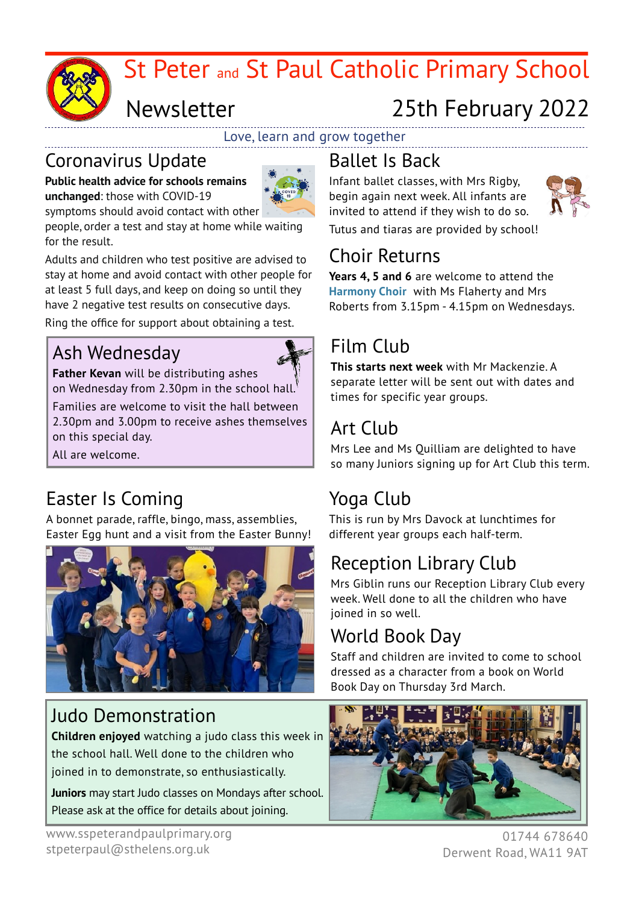

# St Peter and St Paul Catholic Primary School

# Newsletter

# 25th February 2022

Love, learn and grow together

#### Coronavirus Update

**Public health advice for schools remains unchanged**: those with COVID-19



symptoms should avoid contact with other people, order a test and stay at home while waiting for the result.

Adults and children who test positive are advised to stay at home and avoid contact with other people for at least 5 full days, and keep on doing so until they have 2 negative test results on consecutive days.

Ring the office for support about obtaining a test.

### Ash Wednesday



**Father Kevan** will be distributing ashes on Wednesday from 2.30pm in the school hall. Families are welcome to visit the hall between 2.30pm and 3.00pm to receive ashes themselves on this special day.

All are welcome.

## Easter Is Coming

A bonnet parade, raffle, bingo, mass, assemblies, Easter Egg hunt and a visit from the Easter Bunny!



#### Judo Demonstration

**Children enjoyed** watching a judo class this week in the school hall. Well done to the children who joined in to demonstrate, so enthusiastically.

**Juniors** may start Judo classes on Mondays after school. Please ask at the office for details about joining.

# Ballet Is Back

Infant ballet classes, with Mrs Rigby, begin again next week. All infants are invited to attend if they wish to do so.



Tutus and tiaras are provided by school!

### Choir Returns

**Years 4, 5 and 6** are welcome to attend the **Harmony Choir** with Ms Flaherty and Mrs Roberts from 3.15pm - 4.15pm on Wednesdays.

## Film Club

**This starts next week** with Mr Mackenzie. A separate letter will be sent out with dates and times for specific year groups.

## Art Club

Mrs Lee and Ms Quilliam are delighted to have so many Juniors signing up for Art Club this term.

## Yoga Club

This is run by Mrs Davock at lunchtimes for different year groups each half-term.

## Reception Library Club

Mrs Giblin runs our Reception Library Club every week. Well done to all the children who have joined in so well.

## World Book Day

Staff and children are invited to come to school dressed as a character from a book on World Book Day on Thursday 3rd March.



01744 678640 Derwent Road, WA11 9AT